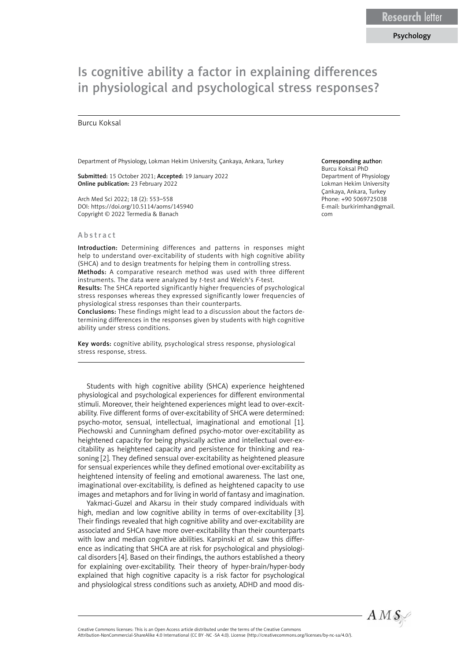# Is cognitive ability a factor in explaining differences in physiological and psychological stress responses?

## Burcu Koksal

Department of Physiology, Lokman Hekim University, Çankaya, Ankara, Turkey

Submitted: 15 October 2021; Accepted: 19 January 2022 Online publication: 23 February 2022

Arch Med Sci 2022; 18 (2): 553–558 DOI: https://doi.org/10.5114/aoms/145940 Copyright © 2022 Termedia & Banach

#### Abstract

Introduction: Determining differences and patterns in responses might help to understand over-excitability of students with high cognitive ability (SHCA) and to design treatments for helping them in controlling stress. Methods: A comparative research method was used with three different

instruments. The data were analyzed by *t*-test and Welch's *F*-test. Results: The SHCA reported significantly higher frequencies of psychological stress responses whereas they expressed significantly lower frequencies of physiological stress responses than their counterparts.

Conclusions: These findings might lead to a discussion about the factors determining differences in the responses given by students with high cognitive ability under stress conditions.

Key words: cognitive ability, psychological stress response, physiological stress response, stress.

Students with high cognitive ability (SHCA) experience heightened physiological and psychological experiences for different environmental stimuli. Moreover, their heightened experiences might lead to over-excitability. Five different forms of over-excitability of SHCA were determined: psycho-motor, sensual, intellectual, imaginational and emotional [1]. Piechowski and Cunningham defined psycho-motor over-excitability as heightened capacity for being physically active and intellectual over-excitability as heightened capacity and persistence for thinking and reasoning [2]. They defined sensual over-excitability as heightened pleasure for sensual experiences while they defined emotional over-excitability as heightened intensity of feeling and emotional awareness. The last one, imaginational over-excitability, is defined as heightened capacity to use images and metaphors and for living in world of fantasy and imagination.

Yakmaci-Guzel and Akarsu in their study compared individuals with high, median and low cognitive ability in terms of over-excitability [3]. Their findings revealed that high cognitive ability and over-excitability are associated and SHCA have more over-excitability than their counterparts with low and median cognitive abilities. Karpinski *et al.* saw this difference as indicating that SHCA are at risk for psychological and physiological disorders [4]. Based on their findings, the authors established a theory for explaining over-excitability. Their theory of hyper-brain/hyper-body explained that high cognitive capacity is a risk factor for psychological and physiological stress conditions such as anxiety, ADHD and mood dis-

# Corresponding author:

Burcu Koksal PhD Department of Physiology Lokman Hekim University Çankaya, Ankara, Turkey Phone: +90 5069725038 E-mail: [burkirimhan@gmail.](mailto:burkirimhan@gmail.com) [com](mailto:burkirimhan@gmail.com)



Attribution-NonCommercial-ShareAlike 4.0 International (CC BY -NC -SA 4.0). License (http://creativecommons.org/licenses/by-nc-sa/4.0/).

Creative Commons licenses: This is an Open Access article distributed under the terms of the Creative Commons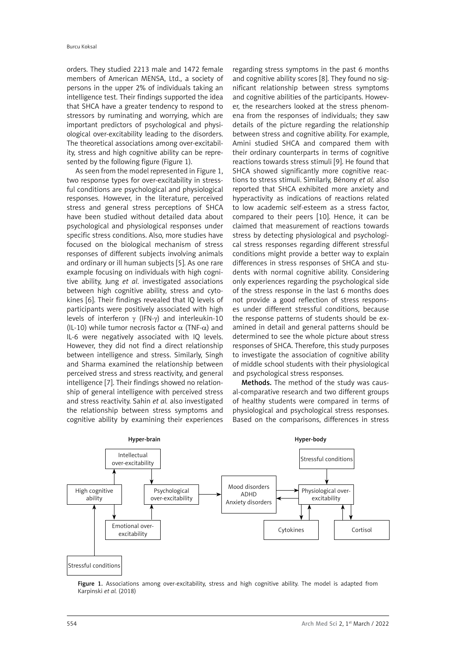orders. They studied 2213 male and 1472 female members of American MENSA, Ltd., a society of persons in the upper 2% of individuals taking an intelligence test. Their findings supported the idea that SHCA have a greater tendency to respond to stressors by ruminating and worrying, which are important predictors of psychological and physiological over-excitability leading to the disorders. The theoretical associations among over-excitability, stress and high cognitive ability can be represented by the following figure (Figure 1).

As seen from the model represented in Figure 1, two response types for over-excitability in stressful conditions are psychological and physiological responses. However, in the literature, perceived stress and general stress perceptions of SHCA have been studied without detailed data about psychological and physiological responses under specific stress conditions. Also, more studies have focused on the biological mechanism of stress responses of different subjects involving animals and ordinary or ill human subjects [5]. As one rare example focusing on individuals with high cognitive ability, Jung *et al*. investigated associations between high cognitive ability, stress and cytokines [6]. Their findings revealed that IQ levels of participants were positively associated with high levels of interferon  $\gamma$  (IFN- $\gamma$ ) and interleukin-10 (IL-10) while tumor necrosis factor  $\alpha$  (TNF- $\alpha$ ) and IL-6 were negatively associated with IQ levels. However, they did not find a direct relationship between intelligence and stress. Similarly, Singh and Sharma examined the relationship between perceived stress and stress reactivity, and general intelligence [7]. Their findings showed no relationship of general intelligence with perceived stress and stress reactivity. Sahin *et al.* also investigated the relationship between stress symptoms and cognitive ability by examining their experiences

regarding stress symptoms in the past 6 months and cognitive ability scores [8]. They found no significant relationship between stress symptoms and cognitive abilities of the participants. However, the researchers looked at the stress phenomena from the responses of individuals; they saw details of the picture regarding the relationship between stress and cognitive ability. For example, Amini studied SHCA and compared them with their ordinary counterparts in terms of cognitive reactions towards stress stimuli [9]. He found that SHCA showed significantly more cognitive reactions to stress stimuli. Similarly, Bénony *et al.* also reported that SHCA exhibited more anxiety and hyperactivity as indications of reactions related to low academic self-esteem as a stress factor, compared to their peers [10]. Hence, it can be claimed that measurement of reactions towards stress by detecting physiological and psychological stress responses regarding different stressful conditions might provide a better way to explain differences in stress responses of SHCA and students with normal cognitive ability. Considering only experiences regarding the psychological side of the stress response in the last 6 months does not provide a good reflection of stress responses under different stressful conditions, because the response patterns of students should be examined in detail and general patterns should be determined to see the whole picture about stress responses of SHCA. Therefore, this study purposes to investigate the association of cognitive ability of middle school students with their physiological and psychological stress responses.

Methods. The method of the study was causal-comparative research and two different groups of healthy students were compared in terms of physiological and psychological stress responses. Based on the comparisons, differences in stress



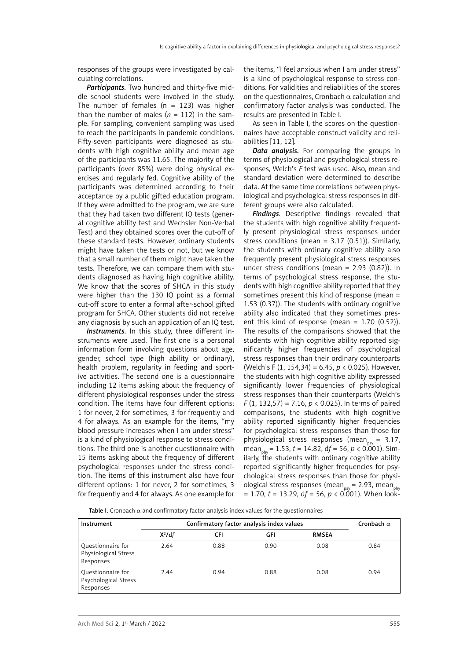responses of the groups were investigated by calculating correlations.

*Participants.* Two hundred and thirty-five middle school students were involved in the study. The number of females  $(n = 123)$  was higher than the number of males  $(n = 112)$  in the sample. For sampling, convenient sampling was used to reach the participants in pandemic conditions. Fifty-seven participants were diagnosed as students with high cognitive ability and mean age of the participants was 11.65. The majority of the participants (over 85%) were doing physical exercises and regularly fed. Cognitive ability of the participants was determined according to their acceptance by a public gifted education program. If they were admitted to the program, we are sure that they had taken two different IQ tests (general cognitive ability test and Wechsler Non-Verbal Test) and they obtained scores over the cut-off of these standard tests. However, ordinary students might have taken the tests or not, but we know that a small number of them might have taken the tests. Therefore, we can compare them with students diagnosed as having high cognitive ability. We know that the scores of SHCA in this study were higher than the 130 IQ point as a formal cut-off score to enter a formal after-school gifted program for SHCA. Other students did not receive any diagnosis by such an application of an IQ test.

*Instruments.* In this study, three different instruments were used. The first one is a personal information form involving questions about age, gender, school type (high ability or ordinary), health problem, regularity in feeding and sportive activities. The second one is a questionnaire including 12 items asking about the frequency of different physiological responses under the stress condition. The items have four different options: 1 for never, 2 for sometimes, 3 for frequently and 4 for always. As an example for the items, "my blood pressure increases when I am under stress" is a kind of physiological response to stress conditions. The third one is another questionnaire with 15 items asking about the frequency of different psychological responses under the stress condition. The items of this instrument also have four different options: 1 for never, 2 for sometimes, 3 for frequently and 4 for always. As one example for

the items, "I feel anxious when I am under stress" is a kind of psychological response to stress conditions. For validities and reliabilities of the scores on the questionnaires, Cronbach  $\alpha$  calculation and confirmatory factor analysis was conducted. The results are presented in Table I.

As seen in Table I, the scores on the questionnaires have acceptable construct validity and reliabilities [11, 12].

*Data analysis.* For comparing the groups in terms of physiological and psychological stress responses, Welch's *F* test was used. Also, mean and standard deviation were determined to describe data. At the same time correlations between physiological and psychological stress responses in different groups were also calculated.

*Findings.* Descriptive findings revealed that the students with high cognitive ability frequently present physiological stress responses under stress conditions (mean = 3.17 (0.51)). Similarly, the students with ordinary cognitive ability also frequently present physiological stress responses under stress conditions (mean = 2.93 (0.82)). In terms of psychological stress response, the students with high cognitive ability reported that they sometimes present this kind of response (mean = 1.53 (0.37)). The students with ordinary cognitive ability also indicated that they sometimes present this kind of response (mean =  $1.70$  (0.52)). The results of the comparisons showed that the students with high cognitive ability reported significantly higher frequencies of psychological stress responses than their ordinary counterparts (Welch's F (1, 154,34) = 6.45, *p* < 0.025). However, the students with high cognitive ability expressed significantly lower frequencies of physiological stress responses than their counterparts (Welch's *F* (1, 132,57) = 7.16, *p* < 0.025). In terms of paired comparisons, the students with high cognitive ability reported significantly higher frequencies for psychological stress responses than those for physiological stress responses (mean<sub>nsy</sub> = 3.17, mean<sub>nhy</sub> = 1.53, *t* = 14.82, df = 56, *p* < 0.001). Similarly, the students with ordinary cognitive ability reported significantly higher frequencies for psychological stress responses than those for physiological stress responses (mean<sub>ney</sub> = 2.93, mean<sub>nh</sub>  $= 1.70$ ,  $t = 13.29$ ,  $df = 56$ ,  $p < 0.001$ ). When look-

Table I. Cronbach  $\alpha$  and confirmatory factor analysis index values for the questionnaires

| Instrument                                                    | Confirmatory factor analysis index values |      |      |              | Cronbach $\alpha$ |
|---------------------------------------------------------------|-------------------------------------------|------|------|--------------|-------------------|
|                                                               | $X^2$ /df                                 | CFI  | GFI  | <b>RMSEA</b> |                   |
| <b>Questionnaire for</b><br>Physiological Stress<br>Responses | 2.64                                      | 0.88 | 0.90 | 0.08         | 0.84              |
| <b>Questionnaire for</b><br>Psychological Stress<br>Responses | 2.44                                      | 0.94 | 0.88 | 0.08         | 0.94              |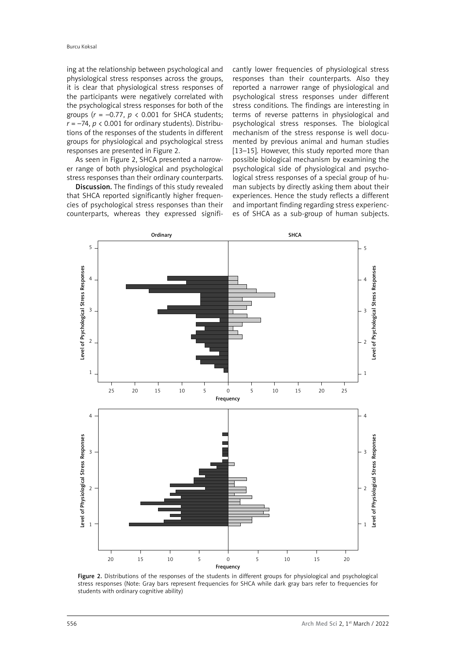ing at the relationship between psychological and physiological stress responses across the groups, it is clear that physiological stress responses of the participants were negatively correlated with the psychological stress responses for both of the groups (*r* = –0.77, *p* < 0.001 for SHCA students;  $r = -74$ ,  $p < 0.001$  for ordinary students). Distributions of the responses of the students in different groups for physiological and psychological stress responses are presented in Figure 2.

As seen in Figure 2, SHCA presented a narrower range of both physiological and psychological stress responses than their ordinary counterparts.

Discussion. The findings of this study revealed that SHCA reported significantly higher frequencies of psychological stress responses than their counterparts, whereas they expressed significantly lower frequencies of physiological stress responses than their counterparts. Also they reported a narrower range of physiological and psychological stress responses under different stress conditions. The findings are interesting in terms of reverse patterns in physiological and psychological stress responses. The biological mechanism of the stress response is well documented by previous animal and human studies [13–15]. However, this study reported more than possible biological mechanism by examining the psychological side of physiological and psychological stress responses of a special group of human subjects by directly asking them about their experiences. Hence the study reflects a different and important finding regarding stress experiences of SHCA as a sub-group of human subjects.



Figure 2. Distributions of the responses of the students in different groups for physiological and psychological stress responses (Note: Gray bars represent frequencies for SHCA while dark gray bars refer to frequencies for students with ordinary cognitive ability)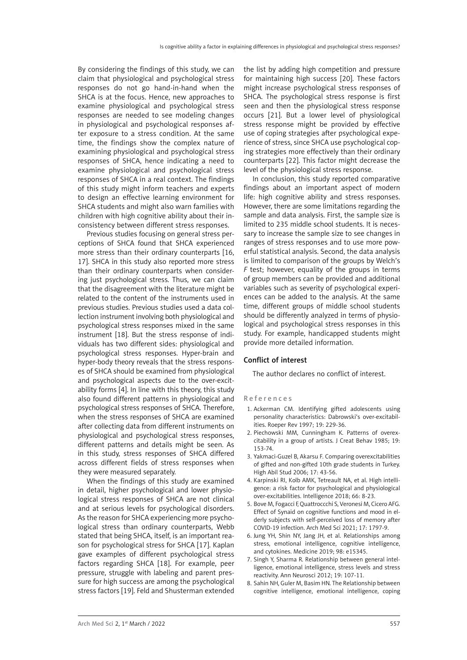By considering the findings of this study, we can claim that physiological and psychological stress responses do not go hand-in-hand when the SHCA is at the focus. Hence, new approaches to examine physiological and psychological stress responses are needed to see modeling changes in physiological and psychological responses after exposure to a stress condition. At the same time, the findings show the complex nature of examining physiological and psychological stress responses of SHCA, hence indicating a need to examine physiological and psychological stress responses of SHCA in a real context. The findings of this study might inform teachers and experts to design an effective learning environment for SHCA students and might also warn families with children with high cognitive ability about their inconsistency between different stress responses.

Previous studies focusing on general stress perceptions of SHCA found that SHCA experienced more stress than their ordinary counterparts [16, 17]. SHCA in this study also reported more stress than their ordinary counterparts when considering just psychological stress. Thus, we can claim that the disagreement with the literature might be related to the content of the instruments used in previous studies. Previous studies used a data collection instrument involving both physiological and psychological stress responses mixed in the same instrument [18]. But the stress response of individuals has two different sides: physiological and psychological stress responses. Hyper-brain and hyper-body theory reveals that the stress responses of SHCA should be examined from physiological and psychological aspects due to the over-excitability forms [4]. In line with this theory, this study also found different patterns in physiological and psychological stress responses of SHCA. Therefore, when the stress responses of SHCA are examined after collecting data from different instruments on physiological and psychological stress responses, different patterns and details might be seen. As in this study, stress responses of SHCA differed across different fields of stress responses when they were measured separately.

When the findings of this study are examined in detail, higher psychological and lower physiological stress responses of SHCA are not clinical and at serious levels for psychological disorders. As the reason for SHCA experiencing more psychological stress than ordinary counterparts, Webb stated that being SHCA, itself, is an important reason for psychological stress for SHCA [17]. Kaplan gave examples of different psychological stress factors regarding SHCA [18]. For example, peer pressure, struggle with labeling and parent pressure for high success are among the psychological stress factors [19]. Feld and Shusterman extended

the list by adding high competition and pressure for maintaining high success [20]. These factors might increase psychological stress responses of SHCA. The psychological stress response is first seen and then the physiological stress response occurs [21]. But a lower level of physiological stress response might be provided by effective use of coping strategies after psychological experience of stress, since SHCA use psychological coping strategies more effectively than their ordinary counterparts [22]. This factor might decrease the level of the physiological stress response.

In conclusion, this study reported comparative findings about an important aspect of modern life: high cognitive ability and stress responses. However, there are some limitations regarding the sample and data analysis. First, the sample size is limited to 235 middle school students. It is necessary to increase the sample size to see changes in ranges of stress responses and to use more powerful statistical analysis. Second, the data analysis is limited to comparison of the groups by Welch's *F* test; however, equality of the groups in terms of group members can be provided and additional variables such as severity of psychological experiences can be added to the analysis. At the same time, different groups of middle school students should be differently analyzed in terms of physiological and psychological stress responses in this study. For example, handicapped students might provide more detailed information.

# Conflict of interest

The author declares no conflict of interest.

## References

- 1. Ackerman CM. Identifying gifted adolescents using personality characteristics: Dabrowski's over-excitabilities. Roeper Rev 1997; 19: 229-36.
- 2. Piechowski MM, Cunningham K. Patterns of overexcitability in a group of artists. J Creat Behav 1985; 19: 153-74.
- 3. Yakmaci-Guzel B, Akarsu F. Comparing overexcitabilities of gifted and non-gifted 10th grade students in Turkey. High Abil Stud 2006; 17: 43-56.
- 4. Karpinski RI, Kolb AMK, Tetreault NA, et al. High intelligence: a risk factor for psychological and physiological over-excitabilities. Intelligence 2018; 66: 8-23.
- 5. Bove M, Fogacci F, Quattroccchi S, Veronesi M, Cicero AFG. Effect of Synaid on cognitive functions and mood in elderly subjects with self-perceived loss of memory after COVID-19 infection. Arch Med Sci 2021; 17: 1797-9.
- 6. Jung YH, Shin NY, Jang JH, et al. Relationships among stress, emotional intelligence, cognitive intelligence, and cytokines. Medicine 2019; 98: e15345.
- 7. Singh Y, Sharma R. Relationship between general intelligence, emotional intelligence, stress levels and stress reactivity. Ann Neurosci 2012; 19: 107-11.
- 8. Sahin NH, Guler M, Basim HN. The Relationship between cognitive intelligence, emotional intelligence, coping